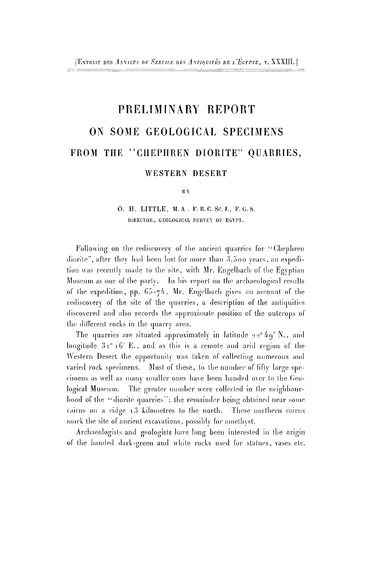## PRELIMINARY REPORT **ON SOME GEOLOGICAL SPECIMENS** FROM THE "CHEPHREN DIORITE" QUARRIES,

## WESTERN DESERT

**BY** 

## O. H. LITTLE, M.A., F.R.C. Sc.I., F.G.S. DIRECTOR, GEOLOGICAL SURVEY OF EGYPT.

Following on the rediscovery of the ancient quarries for "Cliephren diorite", after they had been lost for more than 3,5o o years, an expedition was recently made to the site, with Mr. Engelhach of the Egyptian Museum as one of the party. In his report on the archaeological results of the expedition, pp.  $65-\frac{7}{4}$ , Mr. Engelbach gives an account of the rediscovery of the site of the quarries, a description of the antiquities discovered and also records the approximate position of the outcrops of the different rocks in the quarry area.

The quarries are situated approximately in latitude  $22^{\circ}49'$  N., and longitude 31° i 6′ E., and as this is a remote and arid region of the Western Deserl the opportunity was taken of collecting numerous and varied rock specimens. Most of these, to the number of fifty large specimens as well as many smaller ones have been handed over to the Geological Museum. The greater number were collected in the neighbourhood of the "diorite quarries"; the remainder being obtained near some cairns on a ridge  $\pm 3$  kilometres to the north. These northern cairns mark the site of ancient excavations, possibly for amethyst.

Archaeologists and geologists have long been interested in the origin of the banded dark-green and white rocks used for statues, vases etc.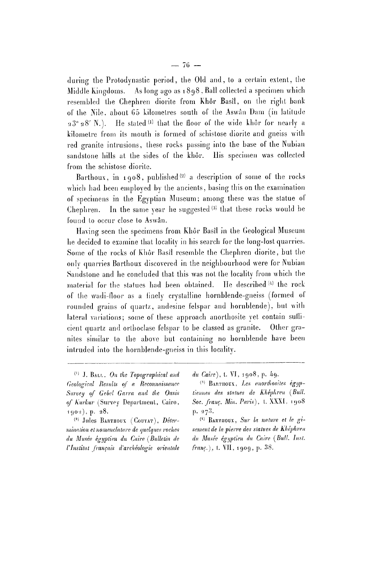during the Protodynastic period, the Old and, to a certain extent, the Middle kingdoms. As long ago as 189 8 . Ball collected a specimen which resembled the Chephren diorite from Khôr Basîl, on the right bank of the Nile, about 65 kilometres south of the Aswân Dam (in latitude  $23°28'$  N.). He stated (1) that the floor of the wide khôr for nearly a kilometre from its mouth is formed of schistose diorite and gneiss with red granite intrusions, these rocks passing into the hase of the Nubian sandstone hills at the sides of the khôr. His specimen was collected from the schistose diorite.

Barthoux, in 1908, published  $(2)$  a description of some of the rocks which had been employed by the ancients, basing this on the examination of specimens in the Egyptian Museum; among these was the statue of Chephren. In the same year he suggested<sup>(3)</sup> that these rocks would be found to occur close to Aswân.

Having seen the specimens from Khôr Basil in the Geological Museum he decided to examine that locality in his search for the long-lost quarries. Some of the rocks of Khôr Basil resemble the Chephren diorite, but the only quarries Barthoux discovered in the neighbourhood were for Nubian Sandstone and he concluded that this was not the locality from which the material for the statues had been obtained.  $(4)$  the rock of the wadi-floor as a finely crystalline hornhlende-gneiss (formed of rounded grains of quartz, andesine felspar and hornhlende), hut with lateral variations; some of these approach anorthosite vet contain sullicient quartz and orlhoclase felspar to be classed as granite. Other granites similar to the above but containing no hornblende have been intruded into the hornblende-gneiss in this locality.

<sup>(2)</sup> Jules Barthoux (Couyat), *Détermination et nomenclature de quelques roches du Musée égyptien du Caire (Bulletin de l'Institut français d'archéologie orientale*  *du Caire*), t. VI, 1908, p. 49.

<sup>&</sup>lt;sup>(1)</sup> J. BALL, On the Topographical and *Geological Residís of n Reconnaissance Suroey of Gebcl Garra and the Oasis*  of Kurkur (Survey Department, Gairo,  $1902$ , p. 28.

BARTHOUX, *l^es anorthosites égyptiennes des stalues de Kliéphrcu (Bull. Soc. franc. Min. Paris),* t. XXXI . 190 8  $p. 273.$ 

<sup>( 4</sup> ) BARTIIOUX , *Sur la nature et le gisement de la pierre des statues de Khéphren du Musée égyptien du Caire (Bull. List, franc.),* 1. VII , <sup>1909</sup> , p. 38.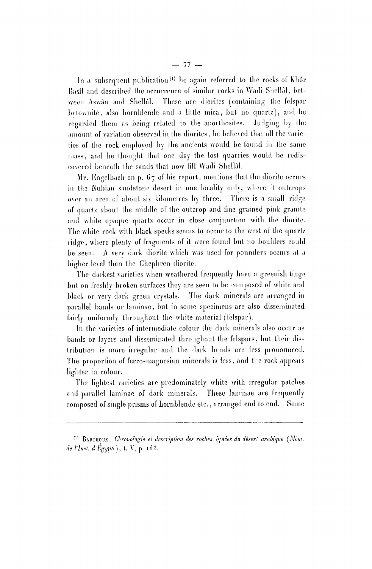In a subsequent publication<sup>(1)</sup> he again referred to the rocks of Khôr Basil and described the occurrence of similar rocks in Wadi Shellal, between Aswan and Shellal. These are diorites (containing the felspar bytownite, also hornblende and a little mica , but no quartz), and he regarded them as being related to the anorthosites. Judging by the amount of variation observed in the diorites, he believed that all the varieties of the rock employed by the ancients would be found in the same mass, and he thought that one day the lost quarries would be rediscovered beneath the sands that now lill Wadi Shellal.

Mr. Engelbach on p.  $67$  of his report, mentions that the diorite occurs in the Nubian sandstone desert in one locality only, where it outcrops over an area of about six kilometres by three. There is a small ridge of quartz about the middle of the outcrop and fine-grained pink granite and white opaque quartz occur in close conjunction with the diorite. The while rock with black specks seems to occur to the west of the quartz ridge, where plenty of fragments of it were found but no boulders could be seen. A very dark diorite which was used for pounders occurs at a higher level than the Chephren diorite.

The darkest varieties when weathered frequently have a greenish tinge but on freshly broken surfaces they are seen to be composed of white and black or very dark green crystals. The dark minerals are arranged in parallel bands or laminae, but in some specimens are also disseminated fairly uniformly throughout the white material (felspar).

In the varieties of intermediate colour the dark minerals also occur as bands or layers and disseminated throughout the felspars, hut their distribution is more irregular and the dark bands are less pronounced. The proportion of ferro-magnesian minerals is less, and the rock appears lighter in colour.

The lightest varieties are predominately white with irregular patches and parallel laminae of dark minerals. These laminae are frequently composed of single prisms of hornblende etc., arranged end lo end. Some

<sup>( 1</sup> ) BARTHOÏÏX, *Chronologie el description des roches ignées du désert arabique (Mém. de rinsl, d'Egypte),* t. V, p. 1/16 .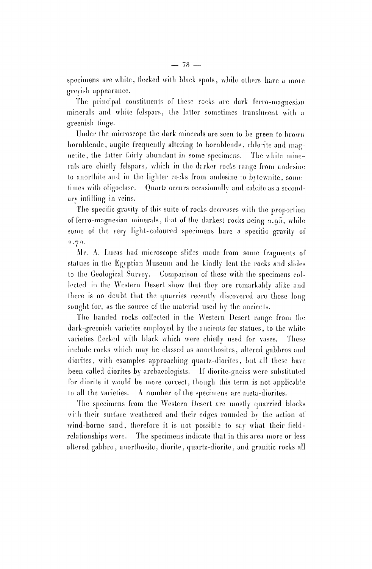specimens are white, flecked with black spots, while others have a more greyish appearance.

The principal constituents of these rocks are dark ferro-magnesian minerals and white felspars, the latter sometimes translucent with a greenish tinge.

Under the microscope the dark minerals are seen to be green to brown hornblende, augite frequently altering to hornblende, chlorite and magnetite, the latter fairly abundant in some specimens. The white minerals arc chiefly felspars, which in the darker rocks range from andesine to anorthite and in the lighter rocks from andesine to bvlownite, sometimes with oligoclase. Quartz occurs occasionally and calcile as a secondary infilling in veins.

The specific gravity of this suite of rocks decreases with the proportion of ferro-magnesian minerals, that of the darkest rocks being 2.q5 , while some of the very light-coloured specimens have a specific gravity of  $2.72.$ 

Mr. A. Lucas had microscope slides made from some fragments of statues in the Egyptian Museum and he kindly lent the rocks and slides to the Geological Survey. Comparison of these with the specimens collected in the Western Desert show that they are remarkably alike and there is no doubt that the quarries recently discovered arc those long sought for, as the source of the material used by the ancients.

The banded rocks collected in the Western Desert range from the dark-greenish varieties employed by the ancients for statues, to the white varieties flecked with black which were chiefly used for vases. These include rocks which may be classed as anorthosites, altered gabbros and diorites, with examples approaching quartz-diorites, but all these have been called diorites by archaeologists. If diorite-gneiss were substituted for diorite it would be more correct, though this term is not applicable to all the varieties. A number of the specimens arc meta-dioriles.

The specimens from the Western Desert are mostly quarried blocks with their surface weathered and their edges rounded by the action of wind-borne sand, therefore it is not possible to say what their fieldrelationships were. The specimens indicate that in this area more or less altered gabbro, anorthosite, diorite, quartz-diorite, and granitic rocks all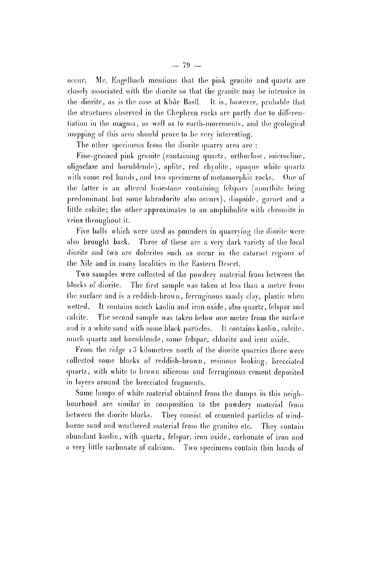occur. Mr. Engelbach mentions that the pink granite and quartz arc closely associated with the diorite so that the granite may he intrusive in the diorite, as is the case at Kh6r Basil. It is, however, probable that the structures observed in the Chephren rocks are partly due to differentiation in the magma, as well as to earth-movements, and the geological mapping of this area should prove to be very interesting.

The other specimens from the diorile quarry area are :

Fine-grained pink granite (containing quartz, orthoclase, microcline, oligoclase and hornblende), aplite, red rhyolile, opaque while quartz with some red bands, and Iwo specimens of metamorphic rocks. One of the latter is an altered limestone containing felspars (anorthite being predominant but some labradorite also occurs), diopside, garnet and a little calcite; the other approximates to an amphibolite with chromite in veins throughout it.

Five balls which were used as pounders in quarrying the diorite were also brought back. Three of these are a very dark variety of the local diorite and two are dolerites such as occur in the cataract regions ol the Kile and in many localities in the Eastern Desert.

Two samples were collected of the powdery material from between the blocks of diorite. The first sample was taken at less than a metre from the surface and is a reddish-brown, ferruginous sandy clay, plastic when wetted. It contains much kaolin and iron oxide, also quartz, felspar and calcitc. The second sample was taken below one metre from the surface and is a white sand with some black particles. It contains kaolin, calcite, much quartz and hornblende, some felspar, chlorite and iron oxide.

From the ridge 13 kilometres north of the diorite quarries there were collected some blocks of reddish-brown, resinous looking, brecciatcd quartz, with white to brown siliceous and ferruginous cement deposited in layers around the brecciatcd fragments.

Some lumps of white material obtained from the dumps in this neighbourhood are similar in composition to the powdery material from between the diorite blocks. They consist of cemented particles of windborne sand and weathered material from the granites etc. They contain abundant kaolin, with quartz, felspar, iron oxide, carbonate of iron and a very little carbonate of calcium. Two specimens contain thin hands of